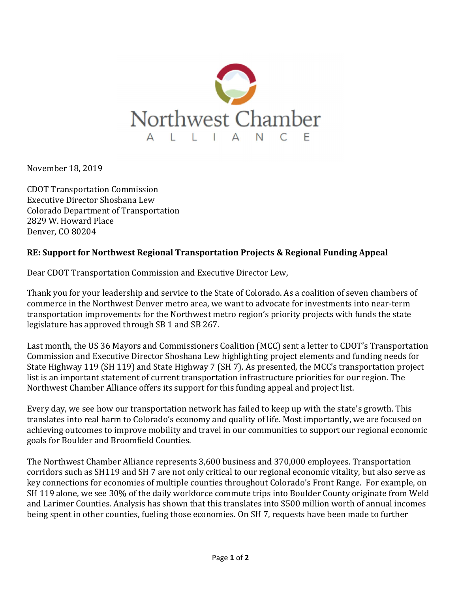

November 18, 2019

CDOT Transportation Commission Executive Director Shoshana Lew Colorado Department of Transportation 2829 W. Howard Place Denver, CO 80204

## RE: Support for Northwest Regional Transportation Projects & Regional Funding Appeal

Dear CDOT Transportation Commission and Executive Director Lew,

Thank you for your leadership and service to the State of Colorado. As a coalition of seven chambers of commerce in the Northwest Denver metro area, we want to advocate for investments into near-term transportation improvements for the Northwest metro region's priority projects with funds the state legislature has approved through SB 1 and SB 267.

Last month, the US 36 Mayors and Commissioners Coalition (MCC) sent a letter to CDOT's Transportation Commission and Executive Director Shoshana Lew highlighting project elements and funding needs for State Highway 119 (SH 119) and State Highway 7 (SH 7). As presented, the MCC's transportation project list is an important statement of current transportation infrastructure priorities for our region. The Northwest Chamber Alliance offers its support for this funding appeal and project list.

Every day, we see how our transportation network has failed to keep up with the state's growth. This translates into real harm to Colorado's economy and quality of life. Most importantly, we are focused on achieving outcomes to improve mobility and travel in our communities to support our regional economic goals for Boulder and Broomfield Counties.

The Northwest Chamber Alliance represents 3,600 business and 370,000 employees. Transportation corridors such as SH119 and SH 7 are not only critical to our regional economic vitality, but also serve as key connections for economies of multiple counties throughout Colorado's Front Range. For example, on SH 119 alone, we see 30% of the daily workforce commute trips into Boulder County originate from Weld and Larimer Counties. Analysis has shown that this translates into \$500 million worth of annual incomes being spent in other counties, fueling those economies. On SH 7, requests have been made to further